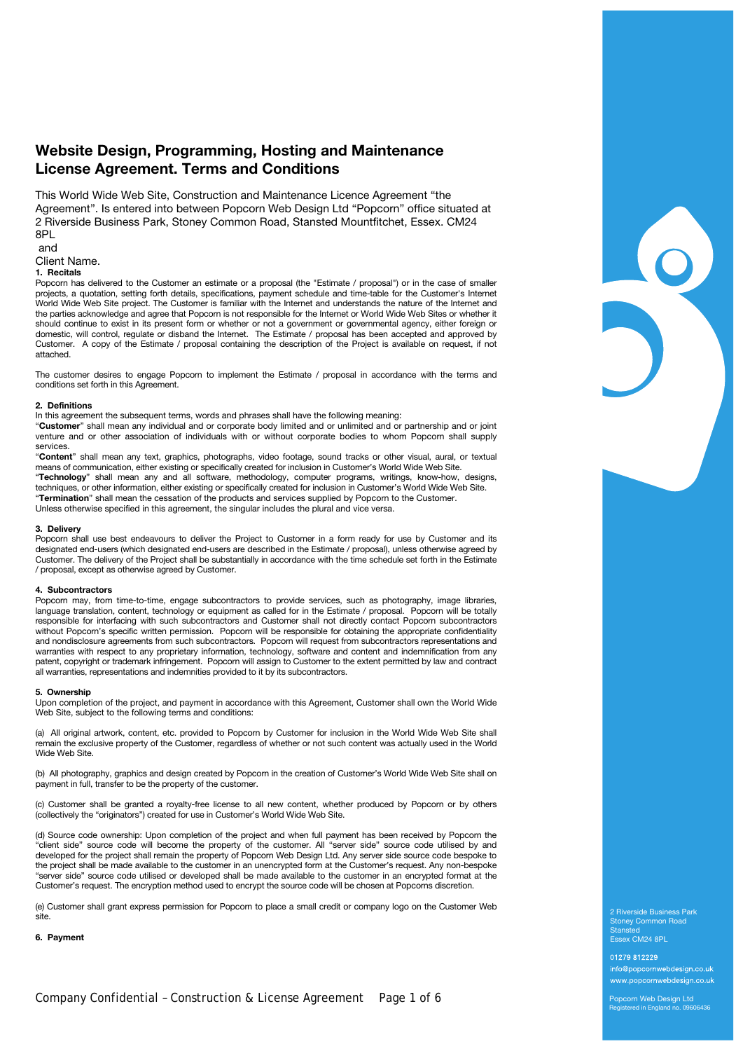# **Website Design, Programming, Hosting and Maintenance License Agreement. Terms and Conditions**

This World Wide Web Site, Construction and Maintenance Licence Agreement "the Agreement". Is entered into between Popcorn Web Design Ltd "Popcorn" office situated at 2 Riverside Business Park, Stoney Common Road, Stansted Mountfitchet, Essex. CM24 8PL

and

# Client Name.

**1. Recitals** 

Popcorn has delivered to the Customer an estimate or a proposal (the "Estimate / proposal") or in the case of smaller projects, a quotation, setting forth details, specifications, payment schedule and time-table for the Customer's Internet World Wide Web Site project. The Customer is familiar with the Internet and understands the nature of the Internet and the parties acknowledge and agree that Popcorn is not responsible for the Internet or World Wide Web Sites or whether it should continue to exist in its present form or whether or not a government or governmental agency, either foreign or domestic, will control, regulate or disband the Internet. The Estimate / proposal has been accepted and approved by Customer. A copy of the Estimate / proposal containing the description of the Project is available on request, if not attached.

The customer desires to engage Popcorn to implement the Estimate / proposal in accordance with the terms and conditions set forth in this Agreement.

## **2. Definitions**

In this agreement the subsequent terms, words and phrases shall have the following meaning:

"**Customer**" shall mean any individual and or corporate body limited and or unlimited and or partnership and or joint venture and or other association of individuals with or without corporate bodies to whom Popcorn shall supply services.

"**Content**" shall mean any text, graphics, photographs, video footage, sound tracks or other visual, aural, or textual means of communication, either existing or specifically created for inclusion in Customer's World Wide Web Site.

"**Technology**" shall mean any and all software, methodology, computer programs, writings, know-how, designs, techniques, or other information, either existing or specifically created for inclusion in Customer's World Wide Web Site. "**Termination**" shall mean the cessation of the products and services supplied by Popcorn to the Customer.

Unless otherwise specified in this agreement, the singular includes the plural and vice versa.

# **3. Delivery**

Popcorn shall use best endeavours to deliver the Project to Customer in a form ready for use by Customer and its designated end-users (which designated end-users are described in the Estimate / proposal), unless otherwise agreed by Customer. The delivery of the Project shall be substantially in accordance with the time schedule set forth in the Estimate / proposal, except as otherwise agreed by Customer.

#### **4. Subcontractors**

Popcorn may, from time-to-time, engage subcontractors to provide services, such as photography, image libraries, language translation, content, technology or equipment as called for in the Estimate / proposal. Popcorn will be totally responsible for interfacing with such subcontractors and Customer shall not directly contact Popcorn subcontractors without Popcorn's specific written permission. Popcorn will be responsible for obtaining the appropriate confidentiality and nondisclosure agreements from such subcontractors. Popcorn will request from subcontractors representations and warranties with respect to any proprietary information, technology, software and content and indemnification from any patent, copyright or trademark infringement. Popcorn will assign to Customer to the extent permitted by law and contract all warranties, representations and indemnities provided to it by its subcontractors.

#### **5. Ownership**

Upon completion of the project, and payment in accordance with this Agreement, Customer shall own the World Wide Web Site, subject to the following terms and conditions:

(a) All original artwork, content, etc. provided to Popcorn by Customer for inclusion in the World Wide Web Site shall remain the exclusive property of the Customer, regardless of whether or not such content was actually used in the World Wide Web Site.

(b) All photography, graphics and design created by Popcorn in the creation of Customer's World Wide Web Site shall on payment in full, transfer to be the property of the customer.

(c) Customer shall be granted a royalty-free license to all new content, whether produced by Popcorn or by others (collectively the "originators") created for use in Customer's World Wide Web Site.

(d) Source code ownership: Upon completion of the project and when full payment has been received by Popcorn the "client side" source code will become the property of the customer. All "server side" source code utilised by and developed for the project shall remain the property of Popcorn Web Design Ltd. Any server side source code bespoke to the project shall be made available to the customer in an unencrypted form at the Customer's request. Any non-bespoke "server side" source code utilised or developed shall be made available to the customer in an encrypted format at the Customer's request. The encryption method used to encrypt the source code will be chosen at Popcorns discretion.

(e) Customer shall grant express permission for Popcorn to place a small credit or company logo on the Customer Web site.

**6. Payment** 

2 Riverside Business Park Stoney Common Road Stansted Essex CM24 8PL

01279 812229 info@popcornwebdesign.co.uk www.popcornwebdesign.co.uk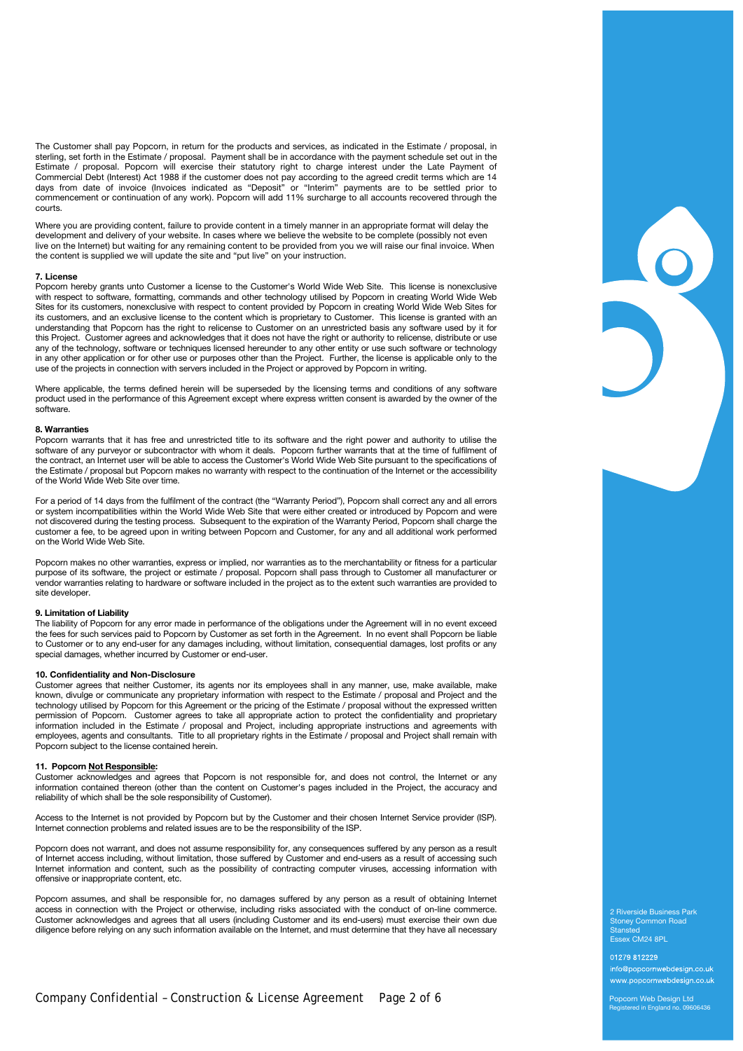The Customer shall pay Popcorn, in return for the products and services, as indicated in the Estimate / proposal, in sterling, set forth in the Estimate / proposal. Payment shall be in accordance with the payment schedule set out in the Estimate / proposal. Popcorn will exercise their statutory right to charge interest under the Late Payment of Commercial Debt (Interest) Act 1988 if the customer does not pay according to the agreed credit terms which are 14 days from date of invoice (Invoices indicated as "Deposit" or "Interim" payments are to be settled prior to commencement or continuation of any work). Popcorn will add 11% surcharge to all accounts recovered through the courts.

Where you are providing content, failure to provide content in a timely manner in an appropriate format will delay the development and delivery of your website. In cases where we believe the website to be complete (possibly not even live on the Internet) but waiting for any remaining content to be provided from you we will raise our final invoice. When the content is supplied we will update the site and "put live" on your instruction.

#### **7. License**

Popcorn hereby grants unto Customer a license to the Customer's World Wide Web Site. This license is nonexclusive with respect to software, formatting, commands and other technology utilised by Popcorn in creating World Wide Web Sites for its customers, nonexclusive with respect to content provided by Popcorn in creating World Wide Web Sites for its customers, and an exclusive license to the content which is proprietary to Customer. This license is granted with an understanding that Popcorn has the right to relicense to Customer on an unrestricted basis any software used by it for this Project. Customer agrees and acknowledges that it does not have the right or authority to relicense, distribute or use any of the technology, software or techniques licensed hereunder to any other entity or use such software or technology in any other application or for other use or purposes other than the Project. Further, the license is applicable only to the use of the projects in connection with servers included in the Project or approved by Popcorn in writing.

Where applicable, the terms defined herein will be superseded by the licensing terms and conditions of any software product used in the performance of this Agreement except where express written consent is awarded by the owner of the software.

# **8. Warranties**

Popcorn warrants that it has free and unrestricted title to its software and the right power and authority to utilise the software of any purveyor or subcontractor with whom it deals. Popcorn further warrants that at the time of fulfilment of the contract, an Internet user will be able to access the Customer's World Wide Web Site pursuant to the specifications of the Estimate / proposal but Popcorn makes no warranty with respect to the continuation of the Internet or the accessibility the Estimate / proposal but Popcorn makes no warranty with respect to the continuation of the Inte of the World Wide Web Site over time.

 For a period of 14 days from the fulfilment of the contract (the "Warranty Period"), Popcorn shall correct any and all errors or system incompatibilities within the World Wide Web Site that were either created or introduced by Popcorn and were not discovered during the testing process. Subsequent to the expiration of the Warranty Period, Popcorn shall charge the customer a fee, to be agreed upon in writing between Popcorn and Customer, for any and all additional work performed on the World Wide Web Site.

Popcorn makes no other warranties, express or implied, nor warranties as to the merchantability or fitness for a particular purpose of its software, the project or estimate / proposal. Popcorn shall pass through to Customer all manufacturer or vendor warranties relating to hardware or software included in the project as to the extent such warranties are provided to site developer.

# **9. Limitation of Liability**

The liability of Popcorn for any error made in performance of the obligations under the Agreement will in no event exceed the fees for such services paid to Popcorn by Customer as set forth in the Agreement. In no event shall Popcorn be liable to Customer or to any end-user for any damages including, without limitation, consequential damages, lost profits or any special damages, whether incurred by Customer or end-user.

## **10. Confidentiality and Non-Disclosure**

Customer agrees that neither Customer, its agents nor its employees shall in any manner, use, make available, make known, divulge or communicate any proprietary information with respect to the Estimate / proposal and Project and the technology utilised by Popcorn for this Agreement or the pricing of the Estimate / proposal without the expressed written permission of Popcorn. Customer agrees to take all appropriate action to protect the confidentiality and proprietary information included in the Estimate / proposal and Project, including appropriate instructions and agreements with employees, agents and consultants. Title to all proprietary rights in the Estimate / proposal and Project shall remain with Popcorn subject to the license contained herein.

## **11. Popcorn Not Responsible:**

Customer acknowledges and agrees that Popcorn is not responsible for, and does not control, the Internet or any information contained thereon (other than the content on Customer's pages included in the Project, the accuracy and reliability of which shall be the sole responsibility of Customer).

Access to the Internet is not provided by Popcorn but by the Customer and their chosen Internet Service provider (ISP). Internet connection problems and related issues are to be the responsibility of the ISP.

Popcorn does not warrant, and does not assume responsibility for, any consequences suffered by any person as a result of Internet access including, without limitation, those suffered by Customer and end-users as a result of accessing such Internet information and content, such as the possibility of contracting computer viruses, accessing information with offensive or inappropriate content, etc.

Popcorn assumes, and shall be responsible for, no damages suffered by any person as a result of obtaining Internet access in connection with the Project or otherwise, including risks associated with the conduct of on-line commerce. Customer acknowledges and agrees that all users (including Customer and its end-users) must exercise their own due diligence before relying on any such information available on the Internet, and must determine that they have all necessary

2 Riverside Business Park Stoney Common Road Stansted Essex CM24 8PL

01279 812229 info@popcornwebdesign.co.uk www.popcornwebdesign.co.uk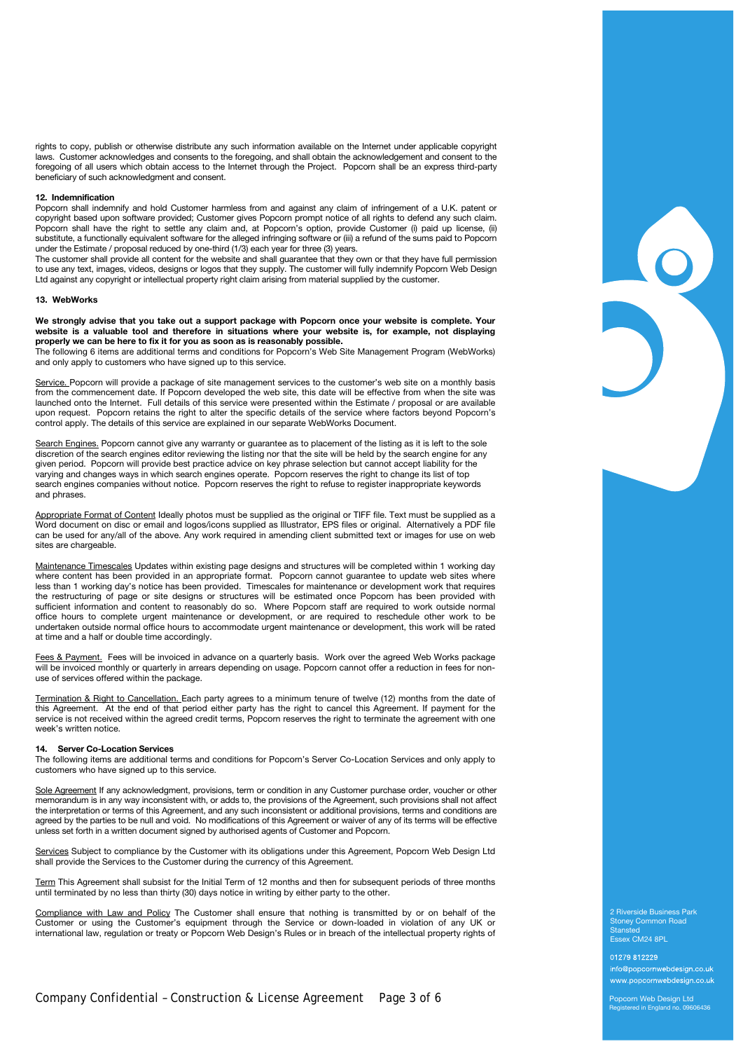rights to copy, publish or otherwise distribute any such information available on the Internet under applicable copyright laws. Customer acknowledges and consents to the foregoing, and shall obtain the acknowledgement and consent to the foregoing of all users which obtain access to the Internet through the Project. Popcorn shall be an express third-party beneficiary of such acknowledgment and consent.

### **12. Indemnification**

Popcorn shall indemnify and hold Customer harmless from and against any claim of infringement of a U.K. patent or copyright based upon software provided; Customer gives Popcorn prompt notice of all rights to defend any such claim. Popcorn shall have the right to settle any claim and, at Popcorn's option, provide Customer (i) paid up license, (ii) substitute, a functionally equivalent software for the alleged infringing software or (iii) a refund of the sums paid to Popcorn under the Estimate / proposal reduced by one-third (1/3) each year for three (3) years.

The customer shall provide all content for the website and shall guarantee that they own or that they have full permission to use any text, images, videos, designs or logos that they supply. The customer will fully indemnify Popcorn Web Design Ltd against any copyright or intellectual property right claim arising from material supplied by the customer.

### **13. WebWorks**

**We strongly advise that you take out a support package with Popcorn once your website is complete. Your website is a valuable tool and therefore in situations where your website is, for example, not displaying properly we can be here to fix it for you as soon as is reasonably possible.** 

The following 6 items are additional terms and conditions for Popcorn's Web Site Management Program (WebWorks) and only apply to customers who have signed up to this service.

Service. Popcorn will provide a package of site management services to the customer's web site on a monthly basis from the commencement date. If Popcorn developed the web site, this date will be effective from when the site was launched onto the Internet. Full details of this service were presented within the Estimate / proposal or are available upon request. Popcorn retains the right to alter the specific details of the service where factors beyond Popcorn's control apply. The details of this service are explained in our separate WebWorks Document.

Search Engines. Popcorn cannot give any warranty or guarantee as to placement of the listing as it is left to the sole discretion of the search engines editor reviewing the listing nor that the site will be held by the search engine for any given period. Popcorn will provide best practice advice on key phrase selection but cannot accept liability for the varying and changes ways in which search engines operate. Popcorn reserves the right to change its list of top search engines companies without notice. Popcorn reserves the right to refuse to register inappropriate keywords and phrases.

Appropriate Format of Content Ideally photos must be supplied as the original or TIFF file. Text must be supplied as a Word document on disc or email and logos/icons supplied as Illustrator, EPS files or original. Alternatively a PDF file can be used for any/all of the above. Any work required in amending client submitted text or images for use on web sites are chargeable.

Maintenance Timescales Updates within existing page designs and structures will be completed within 1 working day where content has been provided in an appropriate format. Popcorn cannot guarantee to update web sites where less than 1 working day's notice has been provided. Timescales for maintenance or development work that requires the restructuring of page or site designs or structures will be estimated once Popcorn has been provided with sufficient information and content to reasonably do so. Where Popcorn staff are required to work outside normal office hours to complete urgent maintenance or development, or are required to reschedule other work to be undertaken outside normal office hours to accommodate urgent maintenance or development, this work will be rated at time and a half or double time accordingly.

Fees & Payment. Fees will be invoiced in advance on a quarterly basis. Work over the agreed Web Works package will be invoiced monthly or quarterly in arrears depending on usage. Popcorn cannot offer a reduction in fees for nonuse of services offered within the package.

Termination & Right to Cancellation. Each party agrees to a minimum tenure of twelve (12) months from the date of this Agreement. At the end of that period either party has the right to cancel this Agreement. If payment for the service is not received within the agreed credit terms, Popcorn reserves the right to terminate the agreement with one week's written notice.

## **14. Server Co-Location Services**

The following items are additional terms and conditions for Popcorn's Server Co-Location Services and only apply to customers who have signed up to this service.

Sole Agreement If any acknowledgment, provisions, term or condition in any Customer purchase order, voucher or other memorandum is in any way inconsistent with, or adds to, the provisions of the Agreement, such provisions shall not affect the interpretation or terms of this Agreement, and any such inconsistent or additional provisions, terms and conditions are agreed by the parties to be null and void. No modifications of this Agreement or waiver of any of its terms will be effective unless set forth in a written document signed by authorised agents of Customer and Popcorn.

Services Subject to compliance by the Customer with its obligations under this Agreement, Popcorn Web Design Ltd shall provide the Services to the Customer during the currency of this Agreement.

Term This Agreement shall subsist for the Initial Term of 12 months and then for subsequent periods of three months until terminated by no less than thirty (30) days notice in writing by either party to the other.

Compliance with Law and Policy The Customer shall ensure that nothing is transmitted by or on behalf of the Customer or using the Customer's equipment through the Service or down-loaded in violation of any UK or international law, regulation or treaty or Popcorn Web Design's Rules or in breach of the intellectual property rights of

2 Riverside Business Park Stoney Common Road Stansted Essex CM24 8PL

01279 812229 info@popcornwebdesign.co.uk www.popcornwebdesign.co.uk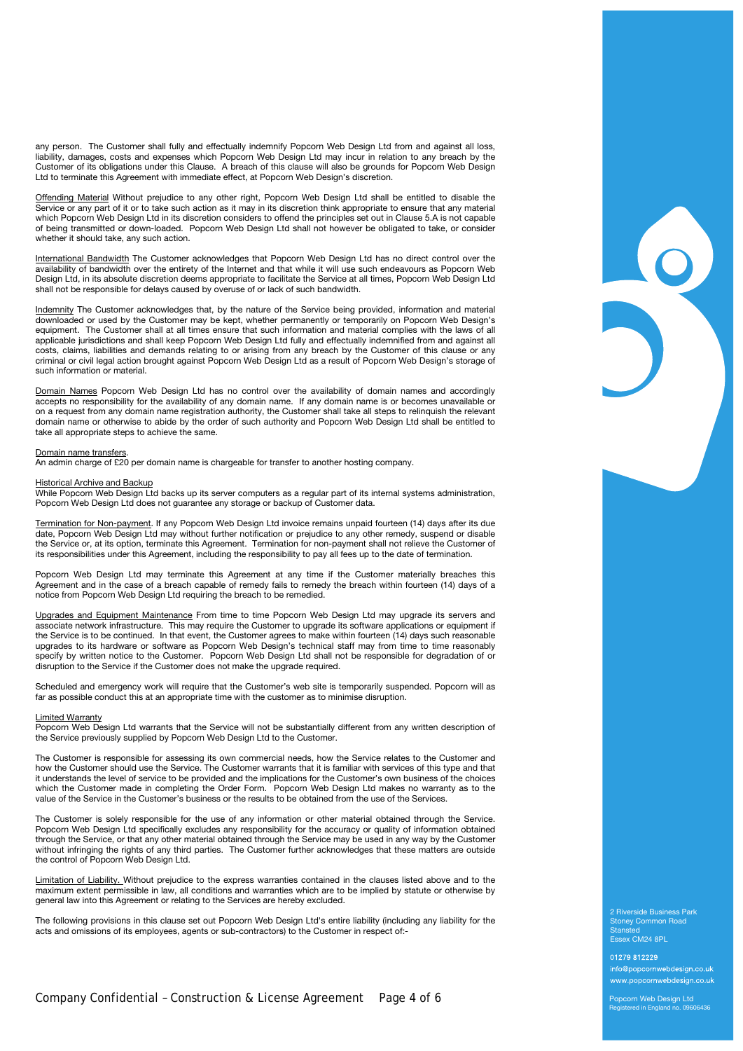any person. The Customer shall fully and effectually indemnify Popcorn Web Design Ltd from and against all loss, liability, damages, costs and expenses which Popcorn Web Design Ltd may incur in relation to any breach by the Customer of its obligations under this Clause. A breach of this clause will also be grounds for Popcorn Web Design Ltd to terminate this Agreement with immediate effect, at Popcorn Web Design's discretion.

Offending Material Without prejudice to any other right, Popcorn Web Design Ltd shall be entitled to disable the Service or any part of it or to take such action as it may in its discretion think appropriate to ensure that any material which Popcorn Web Design Ltd in its discretion considers to offend the principles set out in Clause 5.A is not capable of being transmitted or down-loaded. Popcorn Web Design Ltd shall not however be obligated to take, or consider whether it should take, any such action.

International Bandwidth The Customer acknowledges that Popcorn Web Design Ltd has no direct control over the availability of bandwidth over the entirety of the Internet and that while it will use such endeavours as Popcorn Web Design Ltd, in its absolute discretion deems appropriate to facilitate the Service at all times, Popcorn Web Design Ltd shall not be responsible for delays caused by overuse of or lack of such bandwidth.

Indemnity The Customer acknowledges that, by the nature of the Service being provided, information and material downloaded or used by the Customer may be kept, whether permanently or temporarily on Popcorn Web Design's equipment. The Customer shall at all times ensure that such information and material complies with the laws of all applicable jurisdictions and shall keep Popcorn Web Design Ltd fully and effectually indemnified from and against all costs, claims, liabilities and demands relating to or arising from any breach by the Customer of this clause or any criminal or civil legal action brought against Popcorn Web Design Ltd as a result of Popcorn Web Design's storage of such information or material.

Domain Names Popcorn Web Design Ltd has no control over the availability of domain names and accordingly accepts no responsibility for the availability of any domain name. If any domain name is or becomes unavailable or on a request from any domain name registration authority, the Customer shall take all steps to relinquish the relevant domain name or otherwise to abide by the order of such authority and Popcorn Web Design Ltd shall be entitled to take all appropriate steps to achieve the same.

#### Domain name transfers.

An admin charge of £20 per domain name is chargeable for transfer to another hosting company.

## Historical Archive and Backup

While Popcorn Web Design Ltd backs up its server computers as a regular part of its internal systems administration, Popcorn Web Design Ltd does not guarantee any storage or backup of Customer data.

Termination for Non-payment. If any Popcorn Web Design Ltd invoice remains unpaid fourteen (14) days after its due date, Popcorn Web Design Ltd may without further notification or prejudice to any other remedy, suspend or disable the Service or, at its option, terminate this Agreement. Termination for non-payment shall not relieve the Customer of its responsibilities under this Agreement, including the responsibility to pay all fees up to the date of termination.

Popcorn Web Design Ltd may terminate this Agreement at any time if the Customer materially breaches this Agreement and in the case of a breach capable of remedy fails to remedy the breach within fourteen (14) days of a notice from Popcorn Web Design Ltd requiring the breach to be remedied.

Upgrades and Equipment Maintenance From time to time Popcorn Web Design Ltd may upgrade its servers and associate network infrastructure. This may require the Customer to upgrade its software applications or equipment if the Service is to be continued. In that event, the Customer agrees to make within fourteen (14) days such reasonable upgrades to its hardware or software as Popcorn Web Design's technical staff may from time to time reasonably specify by written notice to the Customer. Popcorn Web Design Ltd shall not be responsible for degradation of or disruption to the Service if the Customer does not make the upgrade required.

Scheduled and emergency work will require that the Customer's web site is temporarily suspended. Popcorn will as far as possible conduct this at an appropriate time with the customer as to minimise disruption.

### Limited Warranty

Popcorn Web Design Ltd warrants that the Service will not be substantially different from any written description of the Service previously supplied by Popcorn Web Design Ltd to the Customer.

The Customer is responsible for assessing its own commercial needs, how the Service relates to the Customer and how the Customer should use the Service. The Customer warrants that it is familiar with services of this type and that it understands the level of service to be provided and the implications for the Customer's own business of the choices which the Customer made in completing the Order Form. Popcorn Web Design Ltd makes no warranty as to the value of the Service in the Customer's business or the results to be obtained from the use of the Services.

The Customer is solely responsible for the use of any information or other material obtained through the Service. Popcorn Web Design Ltd specifically excludes any responsibility for the accuracy or quality of information obtained through the Service, or that any other material obtained through the Service may be used in any way by the Customer without infringing the rights of any third parties. The Customer further acknowledges that these matters are outside the control of Popcorn Web Design Ltd.

Limitation of Liability. Without prejudice to the express warranties contained in the clauses listed above and to the maximum extent permissible in law, all conditions and warranties which are to be implied by statute or otherwise by general law into this Agreement or relating to the Services are hereby excluded.

The following provisions in this clause set out Popcorn Web Design Ltd's entire liability (including any liability for the acts and omissions of its employees, agents or sub-contractors) to the Customer in respect of:-

2 Riverside Business Park Stoney Common Road Stansted Essex CM24 8PL

01279 812229 info@popcornwebdesign.co.uk www.popcornwebdesign.co.uk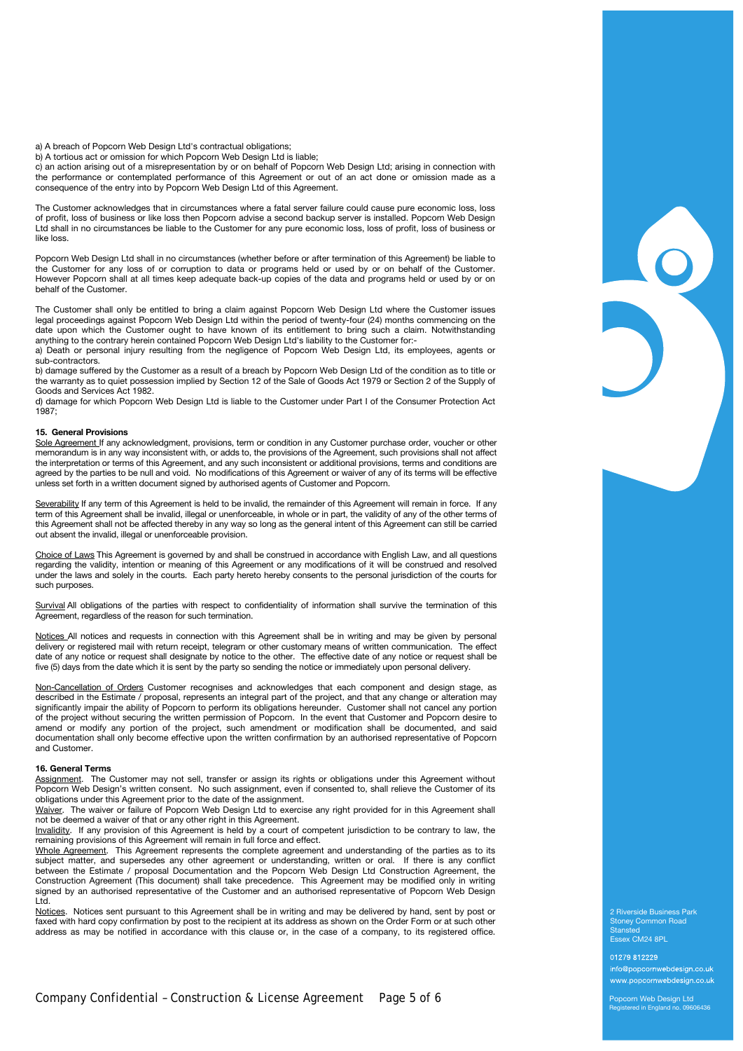a) A breach of Popcorn Web Design Ltd's contractual obligations;

b) A tortious act or omission for which Popcorn Web Design Ltd is liable;

c) an action arising out of a misrepresentation by or on behalf of Popcorn Web Design Ltd; arising in connection with the performance or contemplated performance of this Agreement or out of an act done or omission made as a consequence of the entry into by Popcorn Web Design Ltd of this Agreement.

The Customer acknowledges that in circumstances where a fatal server failure could cause pure economic loss, loss of profit, loss of business or like loss then Popcorn advise a second backup server is installed. Popcorn Web Design Ltd shall in no circumstances be liable to the Customer for any pure economic loss, loss of profit, loss of business or like loss.

Popcorn Web Design Ltd shall in no circumstances (whether before or after termination of this Agreement) be liable to the Customer for any loss of or corruption to data or programs held or used by or on behalf of the Customer. However Popcorn shall at all times keep adequate back-up copies of the data and programs held or used by or on behalf of the Customer.

The Customer shall only be entitled to bring a claim against Popcorn Web Design Ltd where the Customer issues legal proceedings against Popcorn Web Design Ltd within the period of twenty-four (24) months commencing on the date upon which the Customer ought to have known of its entitlement to bring such a claim. Notwithstanding anything to the contrary herein contained Popcorn Web Design Ltd's liability to the Customer for:-

a) Death or personal injury resulting from the negligence of Popcorn Web Design Ltd, its employees, agents or sub-contractors.

b) damage suffered by the Customer as a result of a breach by Popcorn Web Design Ltd of the condition as to title or the warranty as to quiet possession implied by Section 12 of the Sale of Goods Act 1979 or Section 2 of the Supply of Goods and Services Act 1982.

d) damage for which Popcorn Web Design Ltd is liable to the Customer under Part I of the Consumer Protection Act 1987;

# **15. General Provisions**

Sole Agreement If any acknowledgment, provisions, term or condition in any Customer purchase order, voucher or other memorandum is in any way inconsistent with, or adds to, the provisions of the Agreement, such provisions shall not affect the interpretation or terms of this Agreement, and any such inconsistent or additional provisions, terms and conditions are agreed by the parties to be null and void. No modifications of this Agreement or waiver of any of its terms will be effective unless set forth in a written document signed by authorised agents of Customer and Popcorn.

Severability If any term of this Agreement is held to be invalid, the remainder of this Agreement will remain in force. If any term of this Agreement shall be invalid, illegal or unenforceable, in whole or in part, the validity of any of the other terms of this Agreement shall not be affected thereby in any way so long as the general intent of this Agreement can still be carried out absent the invalid, illegal or unenforceable provision.

Choice of Laws This Agreement is governed by and shall be construed in accordance with English Law, and all questions regarding the validity, intention or meaning of this Agreement or any modifications of it will be construed and resolved under the laws and solely in the courts. Each party hereto hereby consents to the personal jurisdiction of the courts for such purposes.

Survival All obligations of the parties with respect to confidentiality of information shall survive the termination of this Agreement, regardless of the reason for such termination.

Notices All notices and requests in connection with this Agreement shall be in writing and may be given by personal delivery or registered mail with return receipt, telegram or other customary means of written communication. The effect date of any notice or request shall designate by notice to the other. The effective date of any notice or request shall be five (5) days from the date which it is sent by the party so sending the notice or immediately upon personal delivery.

Non-Cancellation of Orders Customer recognises and acknowledges that each component and design stage, as described in the Estimate / proposal, represents an integral part of the project, and that any change or alteration may significantly impair the ability of Popcorn to perform its obligations hereunder. Customer shall not cancel any portion of the project without securing the written permission of Popcorn. In the event that Customer and Popcorn desire to amend or modify any portion of the project, such amendment or modification shall be documented, and said documentation shall only become effective upon the written confirmation by an authorised representative of Popcorn and Customer.

## **16. General Terms**

Assignment. The Customer may not sell, transfer or assign its rights or obligations under this Agreement without Popcorn Web Design's written consent. No such assignment, even if consented to, shall relieve the Customer of its obligations under this Agreement prior to the date of the assignment.

Waiver. The waiver or failure of Popcorn Web Design Ltd to exercise any right provided for in this Agreement shall not be deemed a waiver of that or any other right in this Agreement.

Invalidity. If any provision of this Agreement is held by a court of competent jurisdiction to be contrary to law, the remaining provisions of this Agreement will remain in full force and effect.

Whole Agreement. This Agreement represents the complete agreement and understanding of the parties as to its subject matter, and supersedes any other agreement or understanding, written or oral. If there is any conflict between the Estimate / proposal Documentation and the Popcorn Web Design Ltd Construction Agreement, the Construction Agreement (This document) shall take precedence. This Agreement may be modified only in writing signed by an authorised representative of the Customer and an authorised representative of Popcorn Web Design Ltd.

Notices. Notices sent pursuant to this Agreement shall be in writing and may be delivered by hand, sent by post or faxed with hard copy confirmation by post to the recipient at its address as shown on the Order Form or at such other address as may be notified in accordance with this clause or, in the case of a company, to its registered office.

2 Riverside Business Park Stoney Common Road Stansted Essex CM24 8PL

01279 812229 info@popcornwebdesign.co.uk www.popcornwebdesign.co.uk